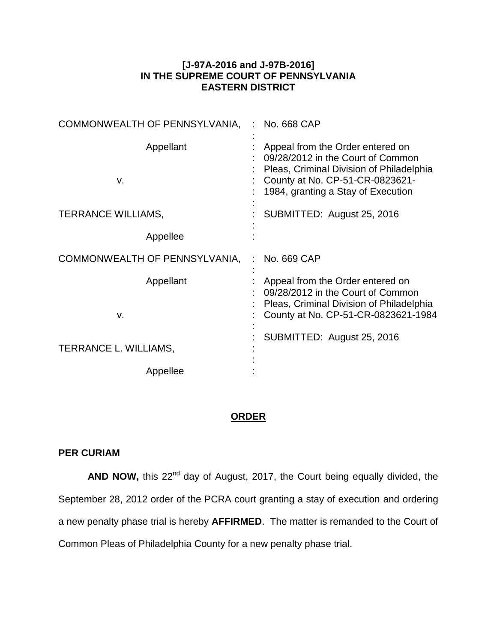## **[J-97A-2016 and J-97B-2016] IN THE SUPREME COURT OF PENNSYLVANIA EASTERN DISTRICT**

| COMMONWEALTH OF PENNSYLVANIA, | No. 668 CAP                                                                                                                                                                                |
|-------------------------------|--------------------------------------------------------------------------------------------------------------------------------------------------------------------------------------------|
| Appellant<br>v.               | Appeal from the Order entered on<br>09/28/2012 in the Court of Common<br>Pleas, Criminal Division of Philadelphia<br>County at No. CP-51-CR-0823621-<br>1984, granting a Stay of Execution |
| TERRANCE WILLIAMS,            | SUBMITTED: August 25, 2016                                                                                                                                                                 |
| Appellee                      |                                                                                                                                                                                            |
| COMMONWEALTH OF PENNSYLVANIA, | No. 669 CAP                                                                                                                                                                                |
| Appellant<br>v.               | Appeal from the Order entered on<br>09/28/2012 in the Court of Common<br>Pleas, Criminal Division of Philadelphia<br>County at No. CP-51-CR-0823621-1984                                   |
| TERRANCE L. WILLIAMS,         | SUBMITTED: August 25, 2016                                                                                                                                                                 |
|                               |                                                                                                                                                                                            |

## **ORDER**

## **PER CURIAM**

AND NOW, this 22<sup>nd</sup> day of August, 2017, the Court being equally divided, the September 28, 2012 order of the PCRA court granting a stay of execution and ordering a new penalty phase trial is hereby **AFFIRMED**. The matter is remanded to the Court of Common Pleas of Philadelphia County for a new penalty phase trial.